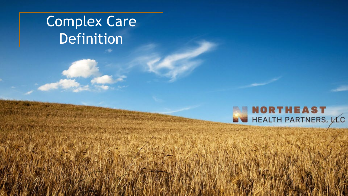## Complex Care Definition

### **NORTHEAST** HEALTH PARTNERS, LLC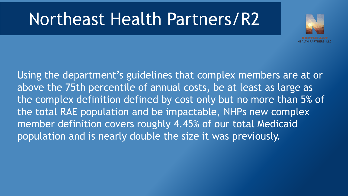# Northeast Health Partners/R2



Using the department's guidelines that complex members are at or above the 75th percentile of annual costs, be at least as large as the complex definition defined by cost only but no more than 5% of the total RAE population and be impactable, NHPs new complex member definition covers roughly 4.45% of our total Medicaid population and is nearly double the size it was previously.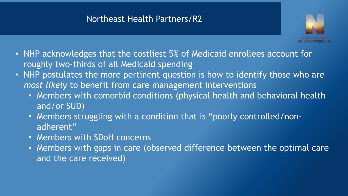### Northeast Health Partners/R2



- NHP acknowledges that the costliest 5% of Medicaid enrollees account for roughly two-thirds of all Medicaid spending
- NHP postulates the more pertinent question is how to identify those who are *most likely* to benefit from care management interventions
	- Members with comorbid conditions (physical health and behavioral health and/or SUD)
	- Members struggling with a condition that is "poorly controlled/nonadherent"
	- Members with SDoH concerns
	- Members with gaps in care (observed difference between the optimal care and the care received)